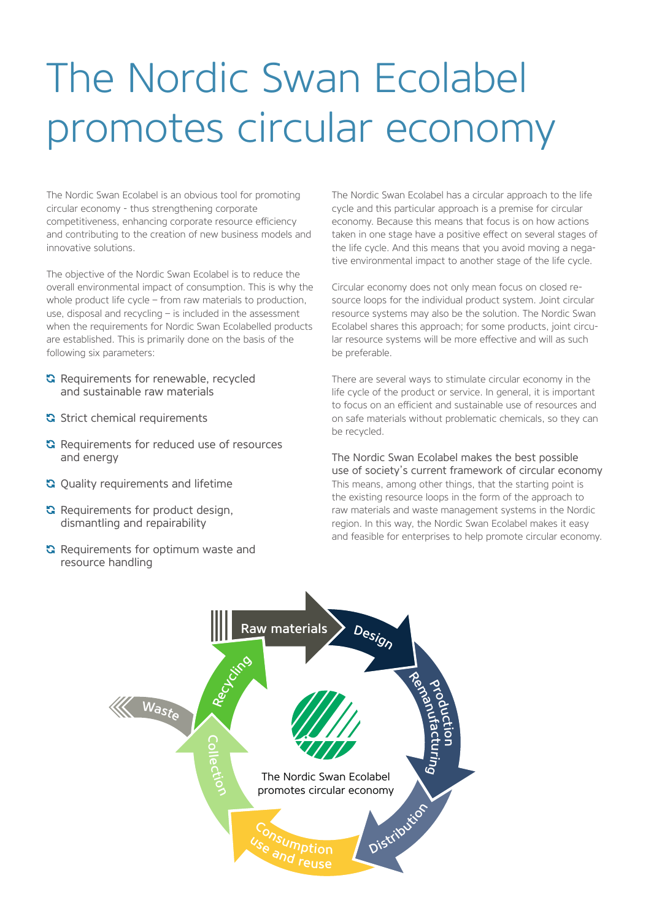# The Nordic Swan Ecolabel promotes circular economy

The Nordic Swan Ecolabel is an obvious tool for promoting circular economy - thus strengthening corporate competitiveness, enhancing corporate resource efficiency and contributing to the creation of new business models and innovative solutions.

The objective of the Nordic Swan Ecolabel is to reduce the overall environmental impact of consumption. This is why the whole product life cycle – from raw materials to production, use, disposal and recycling – is included in the assessment when the requirements for Nordic Swan Ecolabelled products are established. This is primarily done on the basis of the following six parameters:

- **G** Requirements for renewable, recycled and sustainable raw materials
- Strict chemical requirements
- **G** Requirements for reduced use of resources and energy
- **G** Quality requirements and lifetime
- **G** Requirements for product design, dismantling and repairability
- **G** Requirements for optimum waste and resource handling

The Nordic Swan Ecolabel has a circular approach to the life cycle and this particular approach is a premise for circular economy. Because this means that focus is on how actions taken in one stage have a positive effect on several stages of the life cycle. And this means that you avoid moving a negative environmental impact to another stage of the life cycle.

Circular economy does not only mean focus on closed resource loops for the individual product system. Joint circular resource systems may also be the solution. The Nordic Swan Ecolabel shares this approach; for some products, joint circular resource systems will be more effective and will as such be preferable.

There are several ways to stimulate circular economy in the life cycle of the product or service. In general, it is important to focus on an efficient and sustainable use of resources and on safe materials without problematic chemicals, so they can be recycled.

The Nordic Swan Ecolabel makes the best possible use of society's current framework of circular economy This means, among other things, that the starting point is the existing resource loops in the form of the approach to raw materials and waste management systems in the Nordic region. In this way, the Nordic Swan Ecolabel makes it easy and feasible for enterprises to help promote circular economy.